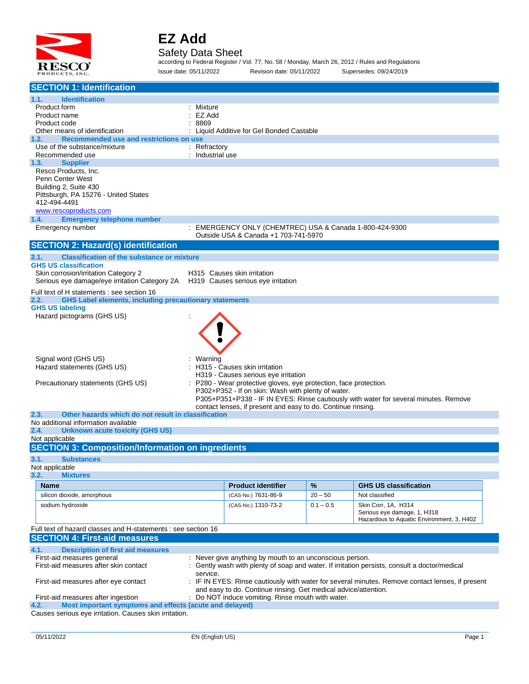

#### Safety Data Sheet

according to Federal Register / Vol. 77, No. 58 / Monday, March 26, 2012 / Rules and Regulations Issue date: 05/11/2022 Revision date: 05/11/2022 Supersedes: 09/24/2019

| <b>SECTION 1: Identification</b>                                                                                         |                  |                                                                 |             |                                                                                                |  |
|--------------------------------------------------------------------------------------------------------------------------|------------------|-----------------------------------------------------------------|-------------|------------------------------------------------------------------------------------------------|--|
| 1.1.<br><b>Identification</b>                                                                                            |                  |                                                                 |             |                                                                                                |  |
| Product form                                                                                                             | : Mixture        |                                                                 |             |                                                                                                |  |
| Product name                                                                                                             | EZ Add           |                                                                 |             |                                                                                                |  |
| Product code<br>Other means of identification                                                                            | 8869             | Liquid Additive for Gel Bonded Castable                         |             |                                                                                                |  |
| Recommended use and restrictions on use<br>1.2.                                                                          |                  |                                                                 |             |                                                                                                |  |
| Use of the substance/mixture                                                                                             | : Refractory     |                                                                 |             |                                                                                                |  |
| Recommended use                                                                                                          | : Industrial use |                                                                 |             |                                                                                                |  |
| 1.3.<br><b>Supplier</b><br>Resco Products, Inc.                                                                          |                  |                                                                 |             |                                                                                                |  |
| Penn Center West                                                                                                         |                  |                                                                 |             |                                                                                                |  |
| Building 2, Suite 430                                                                                                    |                  |                                                                 |             |                                                                                                |  |
| Pittsburgh, PA 15276 - United States                                                                                     |                  |                                                                 |             |                                                                                                |  |
| 412-494-4491                                                                                                             |                  |                                                                 |             |                                                                                                |  |
| www.rescoproducts.com<br><b>Emergency telephone number</b><br>1.4.                                                       |                  |                                                                 |             |                                                                                                |  |
| Emergency number                                                                                                         |                  | EMERGENCY ONLY (CHEMTREC) USA & Canada 1-800-424-9300           |             |                                                                                                |  |
|                                                                                                                          |                  | Outside USA & Canada +1 703-741-5970                            |             |                                                                                                |  |
| <b>SECTION 2: Hazard(s) identification</b>                                                                               |                  |                                                                 |             |                                                                                                |  |
| 2.1.<br><b>Classification of the substance or mixture</b>                                                                |                  |                                                                 |             |                                                                                                |  |
| <b>GHS US classification</b>                                                                                             |                  |                                                                 |             |                                                                                                |  |
| Skin corrosion/irritation Category 2<br>Serious eye damage/eye irritation Category 2A H319 Causes serious eye irritation |                  | H315 Causes skin irritation                                     |             |                                                                                                |  |
|                                                                                                                          |                  |                                                                 |             |                                                                                                |  |
| Full text of H statements : see section 16<br>2.2.<br><b>GHS Label elements, including precautionary statements</b>      |                  |                                                                 |             |                                                                                                |  |
| <b>GHS US labeling</b>                                                                                                   |                  |                                                                 |             |                                                                                                |  |
| Hazard pictograms (GHS US)                                                                                               |                  |                                                                 |             |                                                                                                |  |
|                                                                                                                          |                  |                                                                 |             |                                                                                                |  |
|                                                                                                                          |                  |                                                                 |             |                                                                                                |  |
|                                                                                                                          |                  |                                                                 |             |                                                                                                |  |
| Signal word (GHS US)                                                                                                     | : Warning        |                                                                 |             |                                                                                                |  |
| Hazard statements (GHS US)                                                                                               |                  | : H315 - Causes skin irritation                                 |             |                                                                                                |  |
|                                                                                                                          |                  | H319 - Causes serious eye irritation                            |             |                                                                                                |  |
| Precautionary statements (GHS US)                                                                                        |                  | P280 - Wear protective gloves, eye protection, face protection. |             |                                                                                                |  |
|                                                                                                                          |                  | P302+P352 - If on skin: Wash with plenty of water.              |             | P305+P351+P338 - IF IN EYES: Rinse cautiously with water for several minutes. Remove           |  |
|                                                                                                                          |                  | contact lenses, if present and easy to do. Continue rinsing.    |             |                                                                                                |  |
| Other hazards which do not result in classification<br>2.3.                                                              |                  |                                                                 |             |                                                                                                |  |
| No additional information available<br>2.4.<br><b>Unknown acute toxicity (GHS US)</b>                                    |                  |                                                                 |             |                                                                                                |  |
| Not applicable                                                                                                           |                  |                                                                 |             |                                                                                                |  |
| <b>SECTION 3: Composition/Information on ingredients</b>                                                                 |                  |                                                                 |             |                                                                                                |  |
| 3.1.<br><b>Substances</b>                                                                                                |                  |                                                                 |             |                                                                                                |  |
| Not applicable                                                                                                           |                  |                                                                 |             |                                                                                                |  |
| 3.2.<br><b>Mixtures</b>                                                                                                  |                  |                                                                 |             |                                                                                                |  |
| <b>Name</b>                                                                                                              |                  | <b>Product identifier</b>                                       | %           | <b>GHS US classification</b>                                                                   |  |
| silicon dioxide, amorphous                                                                                               |                  | (CAS-No.) 7631-86-9                                             | $20 - 50$   | Not classified                                                                                 |  |
| sodium hydroxide                                                                                                         |                  | (CAS-No.) 1310-73-2                                             | $0.1 - 0.5$ | Skin Corr, 1A, H314                                                                            |  |
|                                                                                                                          |                  |                                                                 |             | Serious eye damage, 1, H318<br>Hazardous to Aquatic Environment, 3, H402                       |  |
| Full text of hazard classes and H-statements : see section 16                                                            |                  |                                                                 |             |                                                                                                |  |
| <b>SECTION 4: First-aid measures</b>                                                                                     |                  |                                                                 |             |                                                                                                |  |
| 4.1.<br><b>Description of first aid measures</b>                                                                         |                  |                                                                 |             |                                                                                                |  |
| First-aid measures general<br>: Never give anything by mouth to an unconscious person.                                   |                  |                                                                 |             |                                                                                                |  |
| First-aid measures after skin contact                                                                                    |                  |                                                                 |             | Gently wash with plenty of soap and water. If irritation persists, consult a doctor/medical    |  |
| First-aid measures after eye contact                                                                                     | service.         |                                                                 |             | IF IN EYES: Rinse cautiously with water for several minutes. Remove contact lenses, if present |  |
|                                                                                                                          |                  | and easy to do. Continue rinsing. Get medical advice/attention. |             |                                                                                                |  |
| First-aid measures after ingestion                                                                                       |                  | Do NOT induce vomiting. Rinse mouth with water.                 |             |                                                                                                |  |
| Most important symptoms and effects (acute and delayed)<br>4.2.                                                          |                  |                                                                 |             |                                                                                                |  |
| Causes serious eye irritation. Causes skin irritation.                                                                   |                  |                                                                 |             |                                                                                                |  |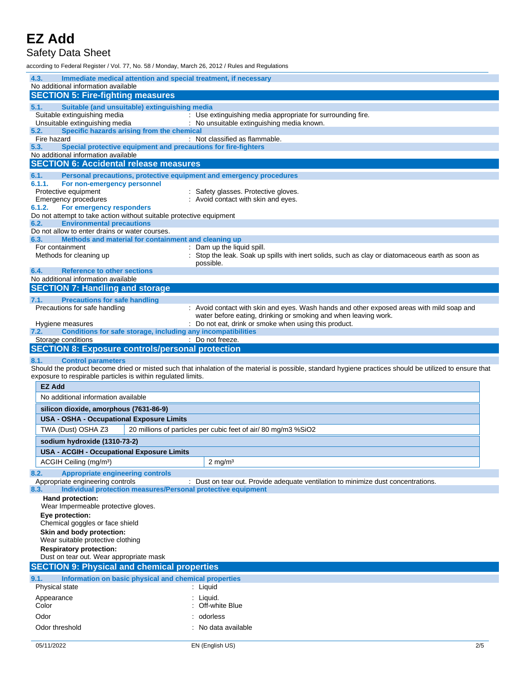### Safety Data Sheet

according to Federal Register / Vol. 77, No. 58 / Monday, March 26, 2012 / Rules and Regulations

| 4.3.<br>Immediate medical attention and special treatment, if necessary                                  |                                                                                                                                                          |
|----------------------------------------------------------------------------------------------------------|----------------------------------------------------------------------------------------------------------------------------------------------------------|
| No additional information available                                                                      |                                                                                                                                                          |
| <b>SECTION 5: Fire-fighting measures</b>                                                                 |                                                                                                                                                          |
| 5.1.<br>Suitable (and unsuitable) extinguishing media<br>Suitable extinguishing media                    | : Use extinguishing media appropriate for surrounding fire.                                                                                              |
| Unsuitable extinguishing media                                                                           | : No unsuitable extinguishing media known.                                                                                                               |
| Specific hazards arising from the chemical<br>5.2.                                                       |                                                                                                                                                          |
| Fire hazard<br>Special protective equipment and precautions for fire-fighters<br>5.3.                    | : Not classified as flammable.                                                                                                                           |
| No additional information available                                                                      |                                                                                                                                                          |
| <b>SECTION 6: Accidental release measures</b>                                                            |                                                                                                                                                          |
| Personal precautions, protective equipment and emergency procedures<br>6.1.                              |                                                                                                                                                          |
| 6.1.1.<br>For non-emergency personnel                                                                    |                                                                                                                                                          |
| Protective equipment<br><b>Emergency procedures</b>                                                      | : Safety glasses. Protective gloves.<br>: Avoid contact with skin and eyes.                                                                              |
| 6.1.2.<br>For emergency responders                                                                       |                                                                                                                                                          |
| Do not attempt to take action without suitable protective equipment                                      |                                                                                                                                                          |
| <b>Environmental precautions</b><br>6.2.<br>Do not allow to enter drains or water courses.               |                                                                                                                                                          |
| Methods and material for containment and cleaning up<br>6.3.                                             |                                                                                                                                                          |
| For containment                                                                                          | Dam up the liquid spill.                                                                                                                                 |
| Methods for cleaning up                                                                                  | : Stop the leak. Soak up spills with inert solids, such as clay or diatomaceous earth as soon as<br>possible.                                            |
| <b>Reference to other sections</b><br>6.4.                                                               |                                                                                                                                                          |
| No additional information available<br><b>SECTION 7: Handling and storage</b>                            |                                                                                                                                                          |
| <b>Precautions for safe handling</b><br>7.1.                                                             |                                                                                                                                                          |
| Precautions for safe handling                                                                            | : Avoid contact with skin and eyes. Wash hands and other exposed areas with mild soap and                                                                |
|                                                                                                          | water before eating, drinking or smoking and when leaving work.                                                                                          |
| Hygiene measures                                                                                         | : Do not eat, drink or smoke when using this product.                                                                                                    |
| Conditions for safe storage, including any incompatibilities<br>7.2.<br>Storage conditions               | : Do not freeze.                                                                                                                                         |
| <b>SECTION 8: Exposure controls/personal protection</b>                                                  |                                                                                                                                                          |
|                                                                                                          |                                                                                                                                                          |
|                                                                                                          |                                                                                                                                                          |
| <b>Control parameters</b><br>8.1.                                                                        | Should the product become dried or misted such that inhalation of the material is possible, standard hygiene practices should be utilized to ensure that |
| exposure to respirable particles is within regulated limits.                                             |                                                                                                                                                          |
| <b>EZ Add</b>                                                                                            |                                                                                                                                                          |
| No additional information available                                                                      |                                                                                                                                                          |
| silicon dioxide, amorphous (7631-86-9)                                                                   |                                                                                                                                                          |
| <b>USA - OSHA - Occupational Exposure Limits</b>                                                         |                                                                                                                                                          |
| TWA (Dust) OSHA Z3                                                                                       | 20 millions of particles per cubic feet of air/80 mg/m3 %SiO2                                                                                            |
| sodium hydroxide (1310-73-2)                                                                             |                                                                                                                                                          |
| <b>USA - ACGIH - Occupational Exposure Limits</b>                                                        |                                                                                                                                                          |
| ACGIH Ceiling (mg/m <sup>3</sup> )                                                                       | $2 \text{ mg/m}^3$                                                                                                                                       |
| 8.2.<br><b>Appropriate engineering controls</b>                                                          |                                                                                                                                                          |
| Appropriate engineering controls<br>Individual protection measures/Personal protective equipment<br>8.3. | : Dust on tear out. Provide adequate ventilation to minimize dust concentrations.                                                                        |
| Hand protection:                                                                                         |                                                                                                                                                          |
| Wear Impermeable protective gloves.                                                                      |                                                                                                                                                          |
| Eye protection:<br>Chemical goggles or face shield                                                       |                                                                                                                                                          |
| Skin and body protection:                                                                                |                                                                                                                                                          |
| Wear suitable protective clothing                                                                        |                                                                                                                                                          |
| <b>Respiratory protection:</b>                                                                           |                                                                                                                                                          |
| Dust on tear out. Wear appropriate mask                                                                  |                                                                                                                                                          |
| <b>SECTION 9: Physical and chemical properties</b>                                                       |                                                                                                                                                          |
| 9.1.<br>Information on basic physical and chemical properties<br>Physical state                          | : Liquid                                                                                                                                                 |
| Appearance                                                                                               | : Liquid.                                                                                                                                                |
| Color                                                                                                    | : Off-white Blue                                                                                                                                         |
| Odor                                                                                                     | : odorless                                                                                                                                               |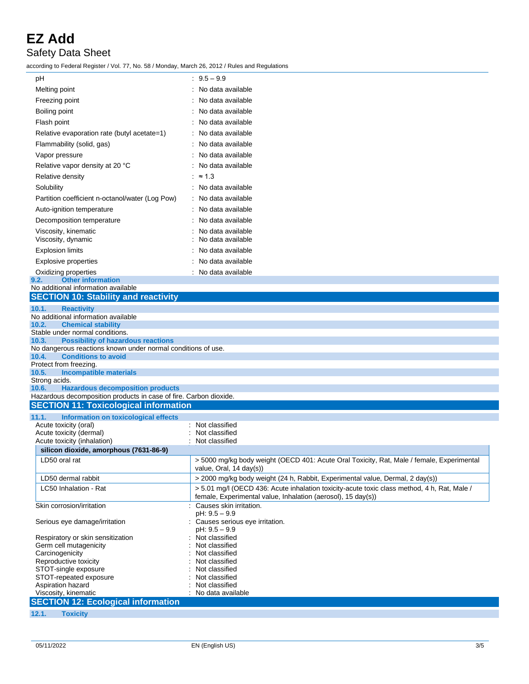### Safety Data Sheet

according to Federal Register / Vol. 77, No. 58 / Monday, March 26, 2012 / Rules and Regulations

| рH                                                                                                                    | $: 9.5 - 9.9$                                                                                                                                               |
|-----------------------------------------------------------------------------------------------------------------------|-------------------------------------------------------------------------------------------------------------------------------------------------------------|
| Melting point                                                                                                         | : No data available                                                                                                                                         |
| Freezing point                                                                                                        | No data available                                                                                                                                           |
| Boiling point                                                                                                         | No data available                                                                                                                                           |
| Flash point                                                                                                           | No data available                                                                                                                                           |
| Relative evaporation rate (butyl acetate=1)                                                                           | : No data available                                                                                                                                         |
| Flammability (solid, gas)                                                                                             | : No data available                                                                                                                                         |
| Vapor pressure                                                                                                        | No data available                                                                                                                                           |
| Relative vapor density at 20 °C                                                                                       | No data available                                                                                                                                           |
| Relative density                                                                                                      | : $\approx 1.3$                                                                                                                                             |
| Solubility                                                                                                            | : No data available                                                                                                                                         |
| Partition coefficient n-octanol/water (Log Pow)                                                                       | : No data available                                                                                                                                         |
|                                                                                                                       | : No data available                                                                                                                                         |
| Auto-ignition temperature                                                                                             |                                                                                                                                                             |
| Decomposition temperature                                                                                             | No data available                                                                                                                                           |
| Viscosity, kinematic<br>Viscosity, dynamic                                                                            | No data available<br>No data available                                                                                                                      |
| <b>Explosion limits</b>                                                                                               | No data available                                                                                                                                           |
| <b>Explosive properties</b>                                                                                           | : No data available                                                                                                                                         |
| Oxidizing properties<br><b>Other information</b><br>9.2.                                                              | : No data available                                                                                                                                         |
| No additional information available                                                                                   |                                                                                                                                                             |
| <b>SECTION 10: Stability and reactivity</b>                                                                           |                                                                                                                                                             |
| <b>Reactivity</b><br>10.1.                                                                                            |                                                                                                                                                             |
| No additional information available                                                                                   |                                                                                                                                                             |
| <b>Chemical stability</b><br>10.2.<br>Stable under normal conditions.                                                 |                                                                                                                                                             |
| <b>Possibility of hazardous reactions</b><br>10.3.                                                                    |                                                                                                                                                             |
| No dangerous reactions known under normal conditions of use.                                                          |                                                                                                                                                             |
| <b>Conditions to avoid</b><br>10.4.<br>Protect from freezing.                                                         |                                                                                                                                                             |
| <b>Incompatible materials</b><br>10.5.                                                                                |                                                                                                                                                             |
| Strong acids.                                                                                                         |                                                                                                                                                             |
| <b>Hazardous decomposition products</b><br>10.6.<br>Hazardous decomposition products in case of fire. Carbon dioxide. |                                                                                                                                                             |
| <b>SECTION 11: Toxicological information</b>                                                                          |                                                                                                                                                             |
| 11.1.<br>Information on toxicological effects                                                                         |                                                                                                                                                             |
| Acute toxicity (oral)                                                                                                 | : Not classified                                                                                                                                            |
| Acute toxicity (dermal)                                                                                               | Not classified                                                                                                                                              |
| Acute toxicity (inhalation)<br>silicon dioxide, amorphous (7631-86-9)                                                 | Not classified                                                                                                                                              |
| LD50 oral rat                                                                                                         | > 5000 mg/kg body weight (OECD 401: Acute Oral Toxicity, Rat, Male / female, Experimental                                                                   |
|                                                                                                                       | value, Oral, 14 day(s))                                                                                                                                     |
| LD50 dermal rabbit                                                                                                    | > 2000 mg/kg body weight (24 h, Rabbit, Experimental value, Dermal, 2 day(s))                                                                               |
| LC50 Inhalation - Rat                                                                                                 | > 5.01 mg/l (OECD 436: Acute inhalation toxicity-acute toxic class method, 4 h, Rat, Male /<br>female, Experimental value, Inhalation (aerosol), 15 day(s)) |
| Skin corrosion/irritation                                                                                             | Causes skin irritation.<br>pH: 9.5 - 9.9                                                                                                                    |
| Serious eye damage/irritation                                                                                         | : Causes serious eye irritation.                                                                                                                            |
| Respiratory or skin sensitization                                                                                     | pH: 9.5 - 9.9<br>Not classified                                                                                                                             |
| Germ cell mutagenicity                                                                                                | Not classified                                                                                                                                              |
| Carcinogenicity                                                                                                       | Not classified                                                                                                                                              |
| Reproductive toxicity<br>STOT-single exposure                                                                         | Not classified<br>Not classified                                                                                                                            |
| STOT-repeated exposure                                                                                                | Not classified                                                                                                                                              |
| Aspiration hazard                                                                                                     | Not classified                                                                                                                                              |
| Viscosity, kinematic                                                                                                  | : No data available                                                                                                                                         |
| <b>SECTION 12: Ecological information</b>                                                                             |                                                                                                                                                             |
| 12.1.<br><b>Toxicity</b>                                                                                              |                                                                                                                                                             |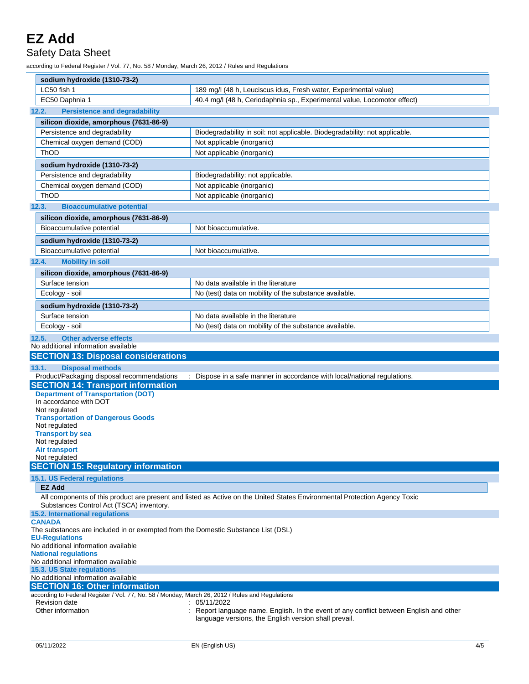### Safety Data Sheet

according to Federal Register / Vol. 77, No. 58 / Monday, March 26, 2012 / Rules and Regulations

| sodium hydroxide (1310-73-2)                                                                                                                  |                                                                                                                            |  |  |  |  |
|-----------------------------------------------------------------------------------------------------------------------------------------------|----------------------------------------------------------------------------------------------------------------------------|--|--|--|--|
| LC50 fish 1                                                                                                                                   | 189 mg/l (48 h, Leuciscus idus, Fresh water, Experimental value)                                                           |  |  |  |  |
| EC50 Daphnia 1                                                                                                                                | 40.4 mg/l (48 h, Ceriodaphnia sp., Experimental value, Locomotor effect)                                                   |  |  |  |  |
| <b>Persistence and degradability</b><br>12.2.                                                                                                 |                                                                                                                            |  |  |  |  |
| silicon dioxide, amorphous (7631-86-9)                                                                                                        |                                                                                                                            |  |  |  |  |
| Persistence and degradability                                                                                                                 | Biodegradability in soil: not applicable. Biodegradability: not applicable.                                                |  |  |  |  |
| Chemical oxygen demand (COD)                                                                                                                  | Not applicable (inorganic)                                                                                                 |  |  |  |  |
| ThOD                                                                                                                                          | Not applicable (inorganic)                                                                                                 |  |  |  |  |
| sodium hydroxide (1310-73-2)                                                                                                                  |                                                                                                                            |  |  |  |  |
| Persistence and degradability                                                                                                                 | Biodegradability: not applicable.                                                                                          |  |  |  |  |
| Chemical oxygen demand (COD)                                                                                                                  | Not applicable (inorganic)                                                                                                 |  |  |  |  |
| ThOD                                                                                                                                          | Not applicable (inorganic)                                                                                                 |  |  |  |  |
| 12.3.<br><b>Bioaccumulative potential</b>                                                                                                     |                                                                                                                            |  |  |  |  |
| silicon dioxide, amorphous (7631-86-9)                                                                                                        |                                                                                                                            |  |  |  |  |
| Bioaccumulative potential                                                                                                                     | Not bioaccumulative.                                                                                                       |  |  |  |  |
| sodium hydroxide (1310-73-2)                                                                                                                  |                                                                                                                            |  |  |  |  |
| Bioaccumulative potential                                                                                                                     | Not bioaccumulative.                                                                                                       |  |  |  |  |
| 12.4.<br><b>Mobility in soil</b>                                                                                                              |                                                                                                                            |  |  |  |  |
| silicon dioxide, amorphous (7631-86-9)                                                                                                        |                                                                                                                            |  |  |  |  |
| Surface tension                                                                                                                               | No data available in the literature                                                                                        |  |  |  |  |
| Ecology - soil                                                                                                                                | No (test) data on mobility of the substance available.                                                                     |  |  |  |  |
| sodium hydroxide (1310-73-2)                                                                                                                  |                                                                                                                            |  |  |  |  |
| Surface tension                                                                                                                               | No data available in the literature                                                                                        |  |  |  |  |
| Ecology - soil                                                                                                                                | No (test) data on mobility of the substance available.                                                                     |  |  |  |  |
| <b>Other adverse effects</b><br>12.5.                                                                                                         |                                                                                                                            |  |  |  |  |
| No additional information available                                                                                                           |                                                                                                                            |  |  |  |  |
|                                                                                                                                               |                                                                                                                            |  |  |  |  |
| <b>SECTION 13: Disposal considerations</b>                                                                                                    |                                                                                                                            |  |  |  |  |
| 13.1.<br><b>Disposal methods</b>                                                                                                              |                                                                                                                            |  |  |  |  |
| Product/Packaging disposal recommendations                                                                                                    | : Dispose in a safe manner in accordance with local/national regulations.                                                  |  |  |  |  |
| <b>SECTION 14: Transport information</b>                                                                                                      |                                                                                                                            |  |  |  |  |
| <b>Department of Transportation (DOT)</b>                                                                                                     |                                                                                                                            |  |  |  |  |
| In accordance with DOT<br>Not regulated                                                                                                       |                                                                                                                            |  |  |  |  |
| <b>Transportation of Dangerous Goods</b>                                                                                                      |                                                                                                                            |  |  |  |  |
| Not regulated                                                                                                                                 |                                                                                                                            |  |  |  |  |
| <b>Transport by sea</b><br>Not regulated                                                                                                      |                                                                                                                            |  |  |  |  |
| <b>Air transport</b>                                                                                                                          |                                                                                                                            |  |  |  |  |
| Not regulated                                                                                                                                 |                                                                                                                            |  |  |  |  |
| <b>SECTION 15: Regulatory information</b>                                                                                                     |                                                                                                                            |  |  |  |  |
| 15.1. US Federal regulations<br><b>EZ Add</b>                                                                                                 |                                                                                                                            |  |  |  |  |
|                                                                                                                                               | All components of this product are present and listed as Active on the United States Environmental Protection Agency Toxic |  |  |  |  |
| Substances Control Act (TSCA) inventory.<br>15.2. International regulations                                                                   |                                                                                                                            |  |  |  |  |
| <b>CANADA</b>                                                                                                                                 |                                                                                                                            |  |  |  |  |
| The substances are included in or exempted from the Domestic Substance List (DSL)<br><b>EU-Regulations</b>                                    |                                                                                                                            |  |  |  |  |
| No additional information available                                                                                                           |                                                                                                                            |  |  |  |  |
| <b>National regulations</b><br>No additional information available                                                                            |                                                                                                                            |  |  |  |  |
| 15.3. US State regulations                                                                                                                    |                                                                                                                            |  |  |  |  |
| No additional information available                                                                                                           |                                                                                                                            |  |  |  |  |
| <b>SECTION 16: Other information</b>                                                                                                          |                                                                                                                            |  |  |  |  |
| according to Federal Register / Vol. 77, No. 58 / Monday, March 26, 2012 / Rules and Regulations<br><b>Revision date</b><br>Other information | : 05/11/2022<br>Report language name. English. In the event of any conflict between English and other                      |  |  |  |  |